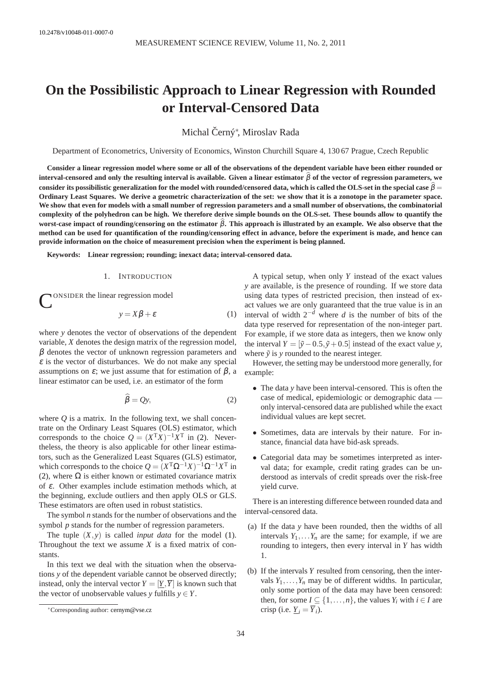# **On the Possibilistic Approach to Linear Regression with Rounded or Interval-Censored Data**

Michal Černý\*, Miroslav Rada

Department of Econometrics, University of Economics, Winston Churchill Square 4, 130 67 Prague, Czech Republic

**Consider a linear regression model where some or all of the observations of the dependent variable have been either rounded or interval-censored and only the resulting interval is available. Given a linear estimator**  $\beta$  of the vector of regression parameters, we consider its possibilistic generalization for the model with rounded/censored data, which is called the OLS-set in the special case  $\beta$ **Ordinary Least Squares. We derive a geometric characterization of the set: we show that it is a zonotope in the parameter space. We show that even for models with a small number of regression parameters and a small number of observations, the combinatorial complexity of the polyhedron can be high. We therefore derive simple bounds on the OLS-set. These bounds allow to quantify the** worst-case impact of rounding/censoring on the estimator β. This approach is illustrated by an example. We also observe that the **method can be used for quantification of the rounding/censoring effect in advance, before the experiment is made, and hence can provide information on the choice of measurement precision when the experiment is being planned.**

**Keywords: Linear regression; rounding; inexact data; interval-censored data.**

#### 1. INTRODUCTION

CONSIDER the linear regression model

<span id="page-0-1"></span>
$$
y = X\beta + \varepsilon \tag{1}
$$

where *y* denotes the vector of observations of the dependent variable, *X* denotes the design matrix of the regression model,  $\beta$  denotes the vector of unknown regression parameters and  $\varepsilon$  is the vector of disturbances. We do not make any special assumptions on  $\varepsilon$ ; we just assume that for estimation of  $\beta$ , a linear estimator can be used, i.e. an estimator of the form

$$
\widehat{\beta} = Qy,\tag{2}
$$

where  $Q$  is a matrix. In the following text, we shall concentrate on the Ordinary Least Squares (OLS) estimator, which corresponds to the choice  $Q = (X^{\mathsf{T}}X)^{-1}X^{\mathsf{T}}$  in [\(2\)](#page-0-0). Nevertheless, the theory is also applicable for other linear estimators, such as the Generalized Least Squares (GLS) estimator, which corresponds to the choice  $Q = (X^T \Omega^{-1} X)^{-1} \Omega^{-1} X^T$  in [\(2\)](#page-0-0), where  $\Omega$  is either known or estimated covariance matrix of <sup>ε</sup>. Other examples include estimation methods which, at the beginning, exclude outliers and then apply OLS or GLS. These estimators are often used in robust statistics.

The symbol *n* stands for the number of observations and the symbol *p* stands for the number of regression parameters.

The tuple (*X*,*y*) is called *input data* for the model [\(1\)](#page-0-1). Throughout the text we assume *X* is a fixed matrix of constants.

In this text we deal with the situation when the observations *y* of the dependent variable cannot be observed directly; instead, only the interval vector  $Y = [Y, \overline{Y}]$  is known such that the vector of unobservable values *y* fulfills  $y \in Y$ .

A typical setup, when only *Y* instead of the exact values *y* are available, is the presence of rounding. If we store data using data types of restricted precision, then instead of exact values we are only guaranteed that the true value is in an interval of width 2−*<sup>d</sup>* where *d* is the number of bits of the data type reserved for representation of the non-integer part. For example, if we store data as integers, then we know only the interval  $Y = [\tilde{y} - 0.5, \tilde{y} + 0.5]$  instead of the exact value *y*, where  $\tilde{v}$  is  $v$  rounded to the nearest integer.

<span id="page-0-0"></span>However, the setting may be understood more generally, for example:

- The data *y* have been interval-censored. This is often the case of medical, epidemiologic or demographic data only interval-censored data are published while the exact individual values are kept secret.
- Sometimes, data are intervals by their nature. For instance, financial data have bid-ask spreads.
- Categorial data may be sometimes interpreted as interval data; for example, credit rating grades can be understood as intervals of credit spreads over the risk-free yield curve.

There is an interesting difference between rounded data and interval-censored data.

- (a) If the data *y* have been rounded, then the widths of all intervals  $Y_1, \ldots, Y_n$  are the same; for example, if we are rounding to integers, then every interval in *Y* has width 1.
- (b) If the intervals *Y* resulted from censoring, then the intervals  $Y_1, \ldots, Y_n$  may be of different widths. In particular, only some portion of the data may have been censored: then, for some  $I \subseteq \{1, \ldots, n\}$ , the values  $Y_i$  with  $i \in I$  are crisp (i.e.  $\underline{Y}_i = \overline{Y}_i$ ).

<sup>∗</sup>Corresponding author: [cernym@vse.cz](mailto:cernym@vse.cz)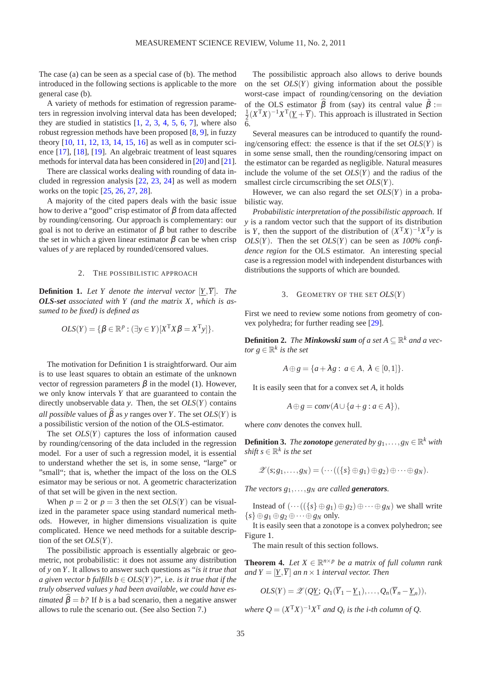The case (a) can be seen as a special case of (b). The method introduced in the following sections is applicable to the more general case (b).

A variety of methods for estimation of regression parameters in regression involving interval data has been developed; they are studied in statistics  $[1, 2, 3, 4, 5, 6, 7]$  $[1, 2, 3, 4, 5, 6, 7]$  $[1, 2, 3, 4, 5, 6, 7]$  $[1, 2, 3, 4, 5, 6, 7]$  $[1, 2, 3, 4, 5, 6, 7]$  $[1, 2, 3, 4, 5, 6, 7]$  $[1, 2, 3, 4, 5, 6, 7]$  $[1, 2, 3, 4, 5, 6, 7]$  $[1, 2, 3, 4, 5, 6, 7]$  $[1, 2, 3, 4, 5, 6, 7]$  $[1, 2, 3, 4, 5, 6, 7]$  $[1, 2, 3, 4, 5, 6, 7]$  $[1, 2, 3, 4, 5, 6, 7]$ , where also robust regression methods have been proposed [\[8,](#page-6-5) [9\]](#page-6-6), in fuzzy theory [\[10,](#page-6-7) [11,](#page-6-8) [12,](#page-6-9) [13,](#page-6-10) [14,](#page-6-11) [15,](#page-6-12) [16\]](#page-6-13) as well as in computer science [\[17\]](#page-6-14), [\[18\]](#page-6-15), [\[19\]](#page-6-16). An algebraic treatment of least squares methods for interval data has been considered in [\[20\]](#page-6-17) and [\[21\]](#page-6-18).

There are classical works dealing with rounding of data included in regression analysis [\[22,](#page-6-19) [23,](#page-6-20) [24\]](#page-6-21) as well as modern works on the topic [\[25,](#page-6-22) [26,](#page-6-23) [27,](#page-6-24) [28\]](#page-6-25).

A majority of the cited papers deals with the basic issue how to derive a "good" crisp estimator of  $β$  from data affected by rounding/censoring. Our approach is complementary: our goal is not to derive an estimator of  $\beta$  but rather to describe the set in which a given linear estimator  $\beta$  can be when crisp values of *y* are replaced by rounded/censored values.

#### 2. THE POSSIBILISTIC APPROACH

<span id="page-1-0"></span>**Definition 1.** Let Y denote the interval vector  $[Y, \overline{Y}]$ . The *OLS-set associated with Y (and the matrix X, which is assumed to be fixed) is defined as*

$$
OLS(Y) = \{ \beta \in \mathbb{R}^p : (\exists y \in Y)[X^{\mathrm{T}} X \beta = X^{\mathrm{T}} y] \}.
$$

The motivation for Definition [1](#page-1-0) is straightforward. Our aim is to use least squares to obtain an estimate of the unknown vector of regression parameters  $β$  in the model [\(1\)](#page-0-1). However, we only know intervals *Y* that are guaranteed to contain the directly unobservable data *y*. Then, the set *OLS*(*Y*) contains *all possible* values of  $\widehat{\beta}$  as *y* ranges over *Y*. The set  $OLS(Y)$  is a possibilistic version of the notion of the OLS-estimator.

The set  $OLS(Y)$  captures the loss of information caused by rounding/censoring of the data included in the regression model. For a user of such a regression model, it is essential to understand whether the set is, in some sense, "large" or "small"; that is, whether the impact of the loss on the OLS esimator may be serious or not. A geometric characterization of that set will be given in the next section.

When  $p = 2$  or  $p = 3$  then the set  $OLS(Y)$  can be visualized in the parameter space using standard numerical methods. However, in higher dimensions visualization is quite complicated. Hence we need methods for a suitable description of the set *OLS*(*Y*).

The possibilistic approach is essentially algebraic or geometric, not probabilistic: it does not assume any distribution of *y* on *Y*. It allows to answer such questions as "*is it true that a given vector b fulfills b*  $\in OLS(Y)$ *?*", i.e. *is it true that if the truly observed values y had been available, we could have estimated*  $\hat{\beta} = b$ ? If *b* is a bad scenario, then a negative answer allows to rule the scenario out. (See also Section 7.)

The possibilistic approach also allows to derive bounds on the set *OLS*(*Y*) giving information about the possible worst-case impact of rounding/censoring on the deviation of the OLS estimator  $\hat{\beta}$  from (say) its central value  $\tilde{\beta} :=$  $\frac{1}{2}(X^{T}X)^{-1}X^{T}(\underline{Y} + \overline{Y})$ . This approach is illustrated in Section 6.

Several measures can be introduced to quantify the rounding/censoring effect: the essence is that if the set *OLS*(*Y*) is in some sense small, then the rounding/censoring impact on the estimator can be regarded as negligible. Natural measures include the volume of the set *OLS*(*Y*) and the radius of the smallest circle circumscribing the set *OLS*(*Y*).

However, we can also regard the set *OLS*(*Y*) in a probabilistic way.

*Probabilistic interpretation of the possibilistic approach.* If *y* is a random vector such that the support of its distribution is *Y*, then the support of the distribution of  $(X<sup>T</sup>X)^{-1}X<sup>T</sup>y$  is  $OLS(Y)$ . Then the set  $OLS(Y)$  can be seen as  $100\%$  confi*dence region* for the OLS estimator. An interesting special case is a regression model with independent disturbances with distributions the supports of which are bounded.

#### 3. GEOMETRY OF THE SET *OLS*(*Y*)

First we need to review some notions from geometry of convex polyhedra; for further reading see [\[29\]](#page-6-26).

**Definition 2.** *The Minkowski sum of a set A*  $\subseteq$   $\mathbb{R}^k$  *and a vec*- $\textit{tor } g \in \mathbb{R}^k$  *is the set* 

$$
A \oplus g = \{a + \lambda g : a \in A, \lambda \in [0,1]\}.
$$

It is easily seen that for a convex set *A*, it holds

$$
A \oplus g = \text{conv}(A \cup \{a + g : a \in A\}),
$$

where conv denotes the convex hull.

**Definition 3.** *The zonotope generated by*  $g_1, \ldots, g_N \in \mathbb{R}^k$  *with*  $\textit{shift } s \in \mathbb{R}^k \textit{ is the set}$ 

$$
\mathscr{Z}(s;g_1,\ldots,g_N)=(\cdots((\lbrace s\rbrace \oplus g_1)\oplus g_2)\oplus\cdots\oplus g_N).
$$

*The vectors*  $g_1, \ldots, g_N$  *are called generators.* 

Instead of  $(\cdots((\lbrace s \rbrace \oplus g_1) \oplus g_2) \oplus \cdots \oplus g_N)$  we shall write  ${s} \oplus g_1 \oplus g_2 \oplus \cdots \oplus g_N$  only.

It is easily seen that a zonotope is a convex polyhedron; see Figure [1.](#page-2-0)

<span id="page-1-1"></span>The main result of this section follows.

**Theorem 4.** Let  $X \in \mathbb{R}^{n \times p}$  be a matrix of full column rank *and*  $Y = [Y, \overline{Y}]$  *an*  $n \times 1$  *interval vector. Then* 

$$
OLS(Y) = \mathscr{Z}(\mathcal{Q}\underline{Y};\, \mathcal{Q}_1(\overline{Y}_1-\underline{Y}_1),\ldots,\mathcal{Q}_n(\overline{Y}_n-\underline{Y}_n)),
$$

*where*  $Q = (X^{\mathrm{T}}X)^{-1}X^{\mathrm{T}}$  *and*  $Q_i$  *is the i-th column of*  $Q$ *.*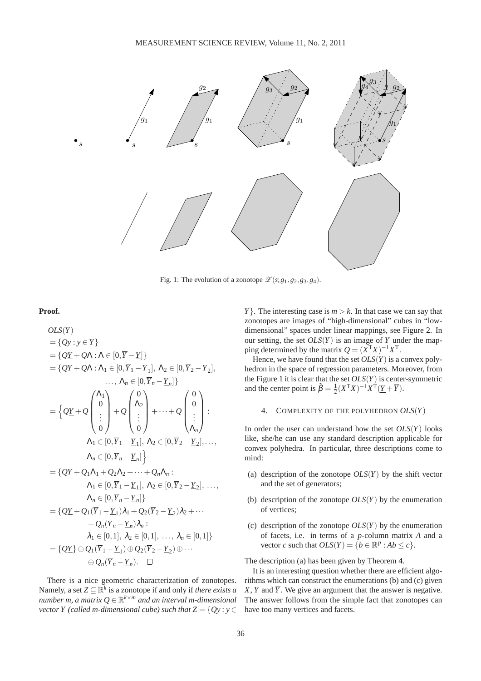<span id="page-2-0"></span>

Fig. 1: The evolution of a zonotope  $\mathscr{Z}(s;g_1,g_2,g_3,g_4)$ .

## **Proof.**

$$
OLS(Y)
$$
  
\n
$$
= \{QY : y \in Y\}
$$
  
\n
$$
= \{QY + Q\Lambda : \Lambda \in [0, \overline{Y} - Y]\}
$$
  
\n
$$
= \{QY + Q\Lambda : \Lambda_1 \in [0, \overline{Y}_1 - Y_1], \Lambda_2 \in [0, \overline{Y}_2 - Y_2], \ldots, \Lambda_n \in [0, \overline{Y}_n - Y_n]\}
$$
  
\n
$$
= \{QY + Q \begin{pmatrix} \Lambda_1 \\ 0 \\ \vdots \\ 0 \end{pmatrix} + Q \begin{pmatrix} 0 \\ \Lambda_2 \\ \vdots \\ 0 \end{pmatrix} + \cdots + Q \begin{pmatrix} 0 \\ 0 \\ \vdots \\ \Lambda_n \end{pmatrix} : \Lambda_1 \in [0, \overline{Y}_1 - Y_1], \Lambda_2 \in [0, \overline{Y}_2 - Y_2], \ldots, \Lambda_n \in [0, \overline{Y}_n - Y_n]\}
$$
  
\n
$$
= \{QY + Q_1\Lambda_1 + Q_2\Lambda_2 + \cdots + Q_n\Lambda_n : \Lambda_1 \in [0, \overline{Y}_1 - Y_1], \Lambda_2 \in [0, \overline{Y}_2 - Y_2], \ldots, \Lambda_n \in [0, \overline{Y}_n - Y_n]\}
$$
  
\n
$$
= \{QY + Q_1(\overline{Y}_1 - Y_1)\lambda_1 + Q_2(\overline{Y}_2 - Y_2)\lambda_2 + \cdots + Q_n(\overline{Y}_n - Y_n)\lambda_n : \lambda_1 \in [0, 1], \lambda_2 \in [0, 1], \ldots, \lambda_n \in [0, 1]\}
$$
  
\n
$$
= \{QY\} \oplus Q_1(\overline{Y}_1 - Y_1) \oplus Q_2(\overline{Y}_2 - Y_2) \oplus \cdots \oplus Q_n(\overline{Y}_n - Y_n). \square
$$

There is a nice geometric characterization of zonotopes. Namely, a set  $Z \subseteq \mathbb{R}^k$  is a zonotope if and only if *there exists a number m, a matrix Q* ∈ R *<sup>k</sup>*×*<sup>m</sup> and an interval m-dimensional vector Y (called m-dimensional cube) such that*  $Z = \{Qy : y \in Z\}$ 

*Y* }. The interesting case is  $m > k$ . In that case we can say that zonotopes are images of "high-dimensional" cubes in "lowdimensional" spaces under linear mappings, see Figure [2.](#page-3-0) In our setting, the set  $OLS(Y)$  is an image of *Y* under the mapping determined by the matrix  $Q = (X<sup>T</sup>X)^{-1}X<sup>T</sup>$ .

Hence, we have found that the set  $OLS(Y)$  is a convex polyhedron in the space of regression parameters. Moreover, from the Figure [1](#page-2-0) it is clear that the set *OLS*(*Y*) is center-symmetric and the center point is  $\tilde{\beta} = \frac{1}{2}(X^{\mathsf{T}}X)^{-1}X^{\hat{\mathsf{T}}}(\underline{Y} + \overline{Y}).$ 

# 4. COMPLEXITY OF THE POLYHEDRON *OLS*(*Y*)

In order the user can understand how the set  $OLS(Y)$  looks like, she/he can use any standard description applicable for convex polyhedra. In particular, three descriptions come to mind:

- (a) description of the zonotope *OLS*(*Y*) by the shift vector and the set of generators;
- (b) description of the zonotope *OLS*(*Y*) by the enumeration of vertices;
- (c) description of the zonotope *OLS*(*Y*) by the enumeration of facets, i.e. in terms of a *p*-column matrix *A* and a vector *c* such that  $OLS(Y) = \{b \in \mathbb{R}^p : Ab \le c\}.$

The description (a) has been given by Theorem [4.](#page-1-1)

<span id="page-2-1"></span>It is an interesting question whether there are efficient algorithms which can construct the enumerations (b) and (c) given *X*, *Y* and  $\overline{Y}$ . We give an argument that the answer is negative. The answer follows from the simple fact that zonotopes can have too many vertices and facets.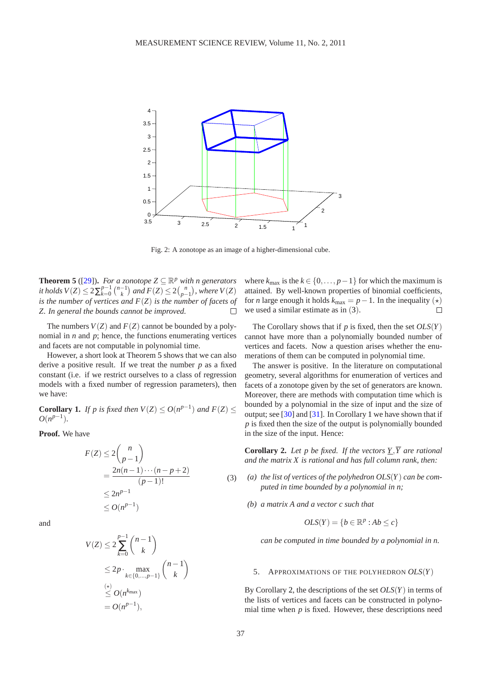<span id="page-3-0"></span>

Fig. 2: A zonotope as an image of a higher-dimensional cube.

**Theorem 5** ([\[29\]](#page-6-26)). For a zonotope  $Z \subseteq \mathbb{R}^p$  with n generators *it holds*  $V(Z) \leq 2\sum_{k=0}^{p-1}$  $_{k=0}^{p-1}$   $\binom{n-1}{k}$  and  $F(Z) \leq 2\binom{n}{p-1}$ , where  $V(Z)$ *is the number of vertices and F*(*Z*) *is the number of facets of Z. In general the bounds cannot be improved.*  $\Box$ 

The numbers  $V(Z)$  and  $F(Z)$  cannot be bounded by a polynomial in *n* and *p*; hence, the functions enumerating vertices and facets are not computable in polynomial time.

However, a short look at Theorem [5](#page-2-1) shows that we can also derive a positive result. If we treat the number *p* as a fixed constant (i.e. if we restrict ourselves to a class of regression models with a fixed number of regression parameters), then we have:

<span id="page-3-2"></span>**Corollary 1.** *If p is fixed then*  $V(Z) \leq O(n^{p-1})$  *and*  $F(Z) \leq$  $O(n^{p-1})$ .

**Proof.** We have

<span id="page-3-1"></span>
$$
F(Z) \le 2\binom{n}{p-1}
$$
  
= 
$$
\frac{2n(n-1)\cdots(n-p+2)}{(p-1)!}
$$
  
\$\le 2n^{p-1}\$ (3)  
\$\le O(n^{p-1})\$

and

$$
V(Z) \le 2 \sum_{k=0}^{p-1} {n-1 \choose k}
$$
  
\n
$$
\le 2p \cdot \max_{k \in \{0,\dots,p-1\}} {n-1 \choose k}
$$
  
\n
$$
\le O(n^{k_{\max}})
$$
  
\n
$$
= O(n^{p-1}),
$$

where  $k_{\text{max}}$  is the  $k \in \{0, \ldots, p-1\}$  for which the maximum is attained. By well-known properties of binomial coefficients, for *n* large enough it holds  $k_{\text{max}} = p - 1$ . In the inequality  $(\star)$ we used a similar estimate as in ([3](#page-3-1)).  $\Box$ 

The Corollary shows that if *p* is fixed, then the set *OLS*(*Y*) cannot have more than a polynomially bounded number of vertices and facets. Now a question arises whether the enumerations of them can be computed in polynomial time.

The answer is positive. In the literature on computational geometry, several algorithms for enumeration of vertices and facets of a zonotope given by the set of generators are known. Moreover, there are methods with computation time which is bounded by a polynomial in the size of input and the size of output; see [\[30\]](#page-6-27) and [\[31\]](#page-6-28). In Corollary [1](#page-3-2) we have shown that if *p* is fixed then the size of the output is polynomially bounded in the size of the input. Hence:

<span id="page-3-3"></span>**Corollary 2.** Let p be fixed. If the vectors  $Y, \overline{Y}$  are rational *and the matrix X is rational and has full column rank, then:*

- *(a) the list of vertices of the polyhedron OLS*(*Y*) *can be computed in time bounded by a polynomial in n;*
	- *(b) a matrix A and a vector c such that*

$$
OLS(Y) = \{b \in \mathbb{R}^p : Ab \le c\}
$$

*can be computed in time bounded by a polynomial in n.*

#### 5. APPROXIMATIONS OF THE POLYHEDRON *OLS*(*Y*)

By Corollary [2,](#page-3-3) the descriptions of the set *OLS*(*Y*) in terms of the lists of vertices and facets can be constructed in polynomial time when *p* is fixed. However, these descriptions need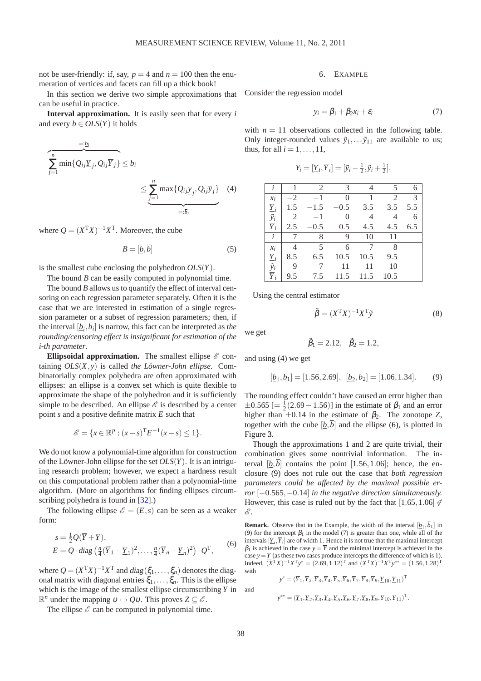not be user-friendly: if, say,  $p = 4$  and  $n = 100$  then the enumeration of vertices and facets can fill up a thick book!

In this section we derive two simple approximations that can be useful in practice.

**Interval approximation.** It is easily seen that for every *i* and every  $b \in OLS(Y)$  it holds

$$
\frac{e^{-\underline{b}_i}}{\sum_{j=1}^n \min\{Q_{ij}\underline{Y}_j, Q_{ij}\overline{Y}_j\}} \le b_i
$$
\n
$$
\le \underbrace{\sum_{j=1}^n \max\{Q_{ij}\underline{y}_j, Q_{ij}\overline{y}_j\}}_{=: \overline{b}_i} \quad (4)
$$

where  $Q = (X<sup>T</sup>X)^{-1}X<sup>T</sup>$ . Moreover, the cube

<span id="page-4-2"></span>
$$
B = [\underline{b}, \overline{b}] \tag{5}
$$

is the smallest cube enclosing the polyhedron *OLS*(*Y*).

The bound *B* can be easily computed in polynomial time.

The bound *B* allows us to quantify the effect of interval censoring on each regression parameter separately. Often it is the case that we are interested in estimation of a single regression parameter or a subset of regression parameters; then, if the interval  $[\underline{b}_i, \overline{b}_i]$  is narrow, this fact can be interpreted as *the rounding/censoring effect is insignificant for estimation of the i-th parameter*.

**Ellipsoidal approximation.** The smallest ellipse  $\mathcal{E}$  containing *OLS*(*X*,*y*) is called *the Löwner-John ellipse*. Combinatorially complex polyhedra are often approximated with ellipses: an ellipse is a convex set which is quite flexible to approximate the shape of the polyhedron and it is sufficiently simple to be described. An ellipse  $\mathscr E$  is described by a center point *s* and a positive definite matrix *E* such that

$$
\mathscr{E} = \{ x \in \mathbb{R}^p : (x - s)^{\mathrm{T}} E^{-1} (x - s) \le 1 \}.
$$

We do not know a polynomial-time algorithm for construction of the Löwner-John ellipse for the set *OLS*(*Y*). It is an intriguing research problem; however, we expect a hardness result on this computational problem rather than a polynomial-time algorithm. (More on algorithms for finding ellipses circumscribing polyhedra is found in [\[32\]](#page-6-29).)

The following ellipse  $\mathscr{E} = (E, s)$  can be seen as a weaker form:

<span id="page-4-1"></span>
$$
s = \frac{1}{2}Q(\overline{Y} + \underline{Y}),
$$
  
\n
$$
E = Q \cdot diag\left(\frac{n}{4}(\overline{Y}_1 - \underline{Y}_1)^2, \dots, \frac{n}{4}(\overline{Y}_n - \underline{Y}_n)^2\right) \cdot Q^T,
$$
\n(6)

where  $Q = (X^{\mathrm{T}}X)^{-1}X^{\mathrm{T}}$  and  $diag(\xi_1,\ldots,\xi_n)$  denotes the diagonal matrix with diagonal entries  $\xi_1, \ldots, \xi_n$ . This is the ellipse which is the image of the smallest ellipse circumscribing *Y* in  $\mathbb{R}^n$  under the mapping  $v \mapsto Qv$ . This proves  $Z \subseteq \mathscr{E}$ .

The ellipse  $\mathscr E$  can be computed in polynomial time.

# 6. EXAMPLE

Consider the regression model

$$
y_i = \beta_1 + \beta_2 x_i + \varepsilon_i \tag{7}
$$

with  $n = 11$  observations collected in the following table. Only integer-rounded values  $\tilde{y}_1, \ldots, \tilde{y}_{11}$  are available to us; thus, for all  $i = 1, \ldots, 11$ ,

$$
Y_i = [\underline{Y}_i, \overline{Y}_i] = [\tilde{y}_i - \frac{1}{2}, \tilde{y}_i + \frac{1}{2}].
$$

<span id="page-4-0"></span>

| l                         |                | $\overline{2}$ | 3              |      | 5              | 6   |
|---------------------------|----------------|----------------|----------------|------|----------------|-----|
| $x_i$                     | $-2$           | $-1$           | $\overline{0}$ | 1    | $\overline{2}$ | 3   |
|                           | 1.5            | $-1.5$         | $-0.5$         | 3.5  | 3.5            | 5.5 |
| $\frac{Y_i}{\tilde{y}_i}$ | $\overline{2}$ | $-1$           | $\overline{0}$ | 4    | 4              | 6   |
| $\overline{Y}_i$          | 2.5            | $-0.5$         | 0.5            | 4.5  | 4.5            | 6.5 |
| i                         |                | 8              | 9              | 10   | 11             |     |
| $x_i$                     | 4              | 5              | 6              | 7    | 8              |     |
|                           | 8.5            | 6.5            | 10.5           | 10.5 | 9.5            |     |
| $\frac{Y_i}{\tilde{y}_i}$ | 9              |                | 11             | 11   | 10             |     |
| $\overline{Y}_i$          | 9.5            | 7.5            | 11.5           | 11.5 | 10.5           |     |

Using the central estimator

$$
\tilde{\beta} = (X^{\mathrm{T}}X)^{-1}X^{\mathrm{T}}\tilde{\mathbf{y}}\tag{8}
$$

we get

$$
\tilde{\beta}_1 = 2.12, \quad \tilde{\beta}_2 = 1.2,
$$

and using [\(4\)](#page-4-0) we get

$$
[\underline{b}_1, \overline{b}_1] = [1.56, 2.69], \ [\underline{b}_2, \overline{b}_2] = [1.06, 1.34].
$$
 (9)

The rounding effect couldn't have caused an error higher than  $\pm 0.565$  [=  $\frac{1}{2}$ (2.69 – 1.56)] in the estimate of  $\beta_1$  and an error higher than  $\pm 0.14$  in the estimate of  $\beta_2$ . The zonotope Z, together with the cube  $[\underline{b}, \overline{b}]$  and the ellipse [\(6\)](#page-4-1), is plotted in Figure [3.](#page-5-2)

Though the approximations 1 and 2 are quite trivial, their combination gives some nontrivial information. The interval  $[\underline{b}, \overline{b}]$  contains the point [1.56, 1.06]; hence, the enclosure (9) does not rule out the case that *both regression parameters could be affected by the maximal possible error*  $[-0.565, -0.14]$  *in the negative direction simultaneously.* However, this case is ruled out by the fact that [1.65,1.06]  $\notin$  $\mathscr{E}.$ 

**Remark.** Observe that in the Example, the width of the interval  $[\underline{b}_1, \underline{b}_1]$  in (9) for the intercept  $\beta_1$  in the model (7) is greater than one, while all of the intervals  $[\underline{Y}_i, \overline{Y}_i]$  are of width 1. Hence it is not true that the maximal intercept  $β<sub>1</sub>$  is achieved in the case  $y = \overline{Y}$  and the minimal intercept is achieved in the case  $y = Y$  (as these two cases produce intercepts the difference of which is 1). Indeed,  $(X^{\mathrm{T}}X)^{-1}X^{\mathrm{T}}y^* = (2.69, 1.12)^{\mathrm{T}}$  and  $(X^{\mathrm{T}}X)^{-1}X^{\mathrm{T}}y^{**} = (1.56, 1.28)^{\mathrm{T}}$ with

$$
y^* = (\overline{Y}_1, \overline{Y}_2, \overline{Y}_3, \overline{Y}_4, \overline{Y}_5, \overline{Y}_6, \overline{Y}_7, \overline{Y}_8, \overline{Y}_9, \underline{Y}_{10}, \underline{Y}_{11})^T
$$
  

$$
y^{**} = (\underline{Y}_1, \underline{Y}_2, \underline{Y}_3, \underline{Y}_4, \underline{Y}_5, \underline{Y}_6, \underline{Y}_7, \underline{Y}_8, \underline{Y}_9, \overline{Y}_{10}, \overline{Y}_{11})^T.
$$

and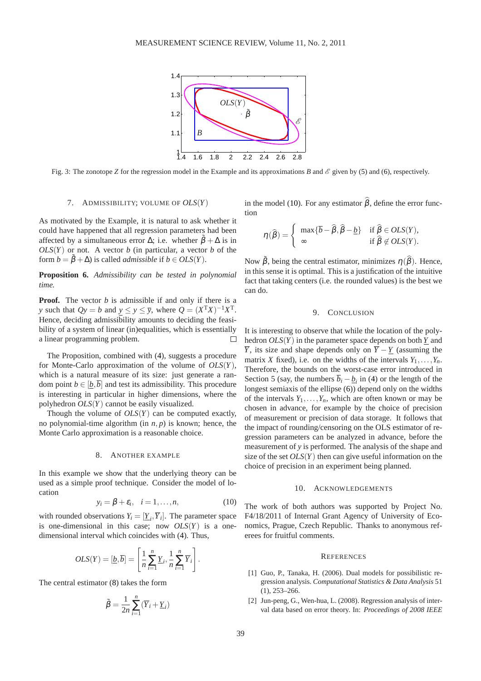

<span id="page-5-2"></span>Fig. 3: The zonotope *Z* for the regression model in the Example and its approximations *B* and  $\mathscr E$  given by [\(5\)](#page-4-2) and [\(6\)](#page-4-1), respectively.

# 7. ADMISSIBILITY; VOLUME OF *OLS*(*Y*)

As motivated by the Example, it is natural to ask whether it could have happened that all regression parameters had been affected by a simultaneous error  $\Delta$ ; i.e. whether  $\beta + \Delta$  is in  $OLS(Y)$  or not. A vector *b* (in particular, a vector *b* of the form  $b = \tilde{\beta} + \Delta$ ) is called *admissible* if  $b \in OLS(Y)$ .

**Proposition 6.** *Admissibility can be tested in polynomial time.*

**Proof.** The vector *b* is admissible if and only if there is a *y* such that  $Qy = b$  and  $y \le y \le \overline{y}$ , where  $Q = (X^T X)^{-1} X^T$ . Hence, deciding admissibility amounts to deciding the feasibility of a system of linear (in)equalities, which is essentially a linear programming problem.  $\Box$ 

The Proposition, combined with [\(4\)](#page-4-0), suggests a procedure for Monte-Carlo approximation of the volume of *OLS*(*Y*), which is a natural measure of its size: just generate a random point  $b \in [b, \overline{b}]$  and test its admissibility. This procedure is interesting in particular in higher dimensions, where the polyhedron *OLS*(*Y*) cannot be easily visualized.

Though the volume of *OLS*(*Y*) can be computed exactly, no polynomial-time algorithm (in *n*, *p*) is known; hence, the Monte Carlo approximation is a reasonable choice.

## 8. ANOTHER EXAMPLE

In this example we show that the underlying theory can be used as a simple proof technique. Consider the model of location

$$
y_i = \beta + \varepsilon_i, \quad i = 1, \dots, n,
$$
 (10)

with rounded observations  $Y_i = [\underline{Y}_i, \overline{Y}_i]$ . The parameter space is one-dimensional in this case; now *OLS*(*Y*) is a onedimensional interval which coincides with [\(4\)](#page-4-0). Thus,

$$
OLS(Y) = [\underline{b}, \overline{b}] = \left[\frac{1}{n}\sum_{i=1}^{n} \underline{Y}_i, \frac{1}{n}\sum_{i=1}^{n} \overline{Y}_i\right].
$$

The central estimator (8) takes the form

$$
\tilde{\beta} = \frac{1}{2n} \sum_{i=1}^{n} (\overline{Y}_i + \underline{Y}_i)
$$

in the model (10). For any estimator  $\hat{\beta}$ , define the error function

$$
\eta(\widehat{\beta}) = \begin{cases} \max\{\overline{b} - \widehat{\beta}, \widehat{\beta} - \underline{b}\} & \text{if } \widehat{\beta} \in OLS(Y), \\ \infty & \text{if } \widehat{\beta} \notin OLS(Y). \end{cases}
$$

Now  $\tilde{\beta}$ , being the central estimator, minimizes  $\eta(\hat{\beta})$ . Hence, in this sense it is optimal. This is a justification of the intuitive fact that taking centers (i.e. the rounded values) is the best we can do.

# 9. CONCLUSION

It is interesting to observe that while the location of the polyhedron  $OLS(Y)$  in the parameter space depends on both  $Y$  and *Y*, its size and shape depends only on  $\overline{Y} - \underline{Y}$  (assuming the matrix *X* fixed), i.e. on the widths of the intervals  $Y_1, \ldots, Y_n$ . Therefore, the bounds on the worst-case error introduced in Section 5 (say, the numbers  $b_i - \underline{b}_i$  in [\(4\)](#page-4-0) or the length of the longest semiaxis of the ellipse [\(6\)](#page-4-1)) depend only on the widths of the intervals  $Y_1, \ldots, Y_n$ , which are often known or may be chosen in advance, for example by the choice of precision of measurement or precision of data storage. It follows that the impact of rounding/censoring on the OLS estimator of regression parameters can be analyzed in advance, before the measurement of *y* is performed. The analysis of the shape and size of the set *OLS*(*Y*) then can give useful information on the choice of precision in an experiment being planned.

## 10. ACKNOWLEDGEMENTS

The work of both authors was supported by Project No. F4/18/2011 of Internal Grant Agency of University of Economics, Prague, Czech Republic. Thanks to anonymous referees for fruitful comments.

### **REFERENCES**

- <span id="page-5-0"></span>[1] Guo, P., Tanaka, H. (2006). Dual models for possibilistic regression analysis. *Computational Statistics & Data Analysis* 51 (1), 253–266.
- <span id="page-5-1"></span>[2] Jun-peng, G., Wen-hua, L. (2008). Regression analysis of interval data based on error theory. In: *Proceedings of 2008 IEEE*